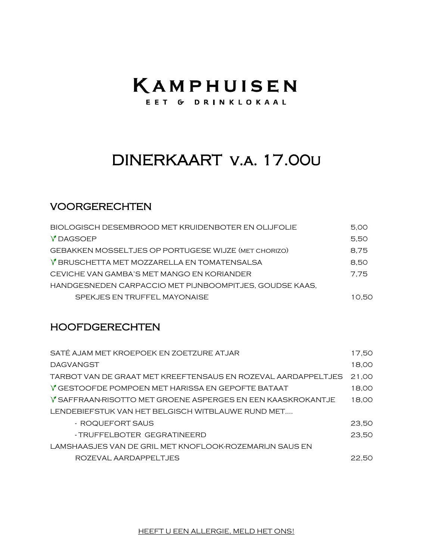# KAMPHUISEN

EET G DRINKLOKAAL

## DINERKAART V.A. 17.00U

### **VOORGERECHTEN**

| BIOLOGISCH DESEMBROOD MET KRUIDENBOTER EN OLIJFOLIE     | 5.00  |
|---------------------------------------------------------|-------|
| V DAGSOEP                                               | 5.50  |
| GEBAKKEN MOSSELTJES OP PORTUGESE WIJZE (MET CHORIZO)    | 8.75  |
| V BRUSCHETTA MET MOZZARELLA EN TOMATENSALSA             | 8.50  |
| CEVICHE VAN GAMBA'S MET MANGO EN KORIANDER              | 7.75  |
| HANDGESNEDEN CARPACCIO MET PIJNBOOMPITJES, GOUDSE KAAS, |       |
| SPEKJES EN TRUFFEL MAYONAISE                            | 10.50 |

#### **HOOFDGERECHTEN**

| SATÉ AJAM MET KROEPOEK EN ZOETZURE ATJAR                      | 17.50 |
|---------------------------------------------------------------|-------|
| <b>DAGVANGST</b>                                              | 18,00 |
| TARBOT VAN DE GRAAT MET KREEFTENSAUS EN ROZEVAL AARDAPPELTJES | 21,00 |
| V GESTOOFDE POMPOEN MET HARISSA EN GEPOFTE BATAAT             | 18,00 |
| V SAFFRAAN-RISOTTO MET GROENE ASPERGES EN EEN KAASKROKANTJE   | 18,00 |
| LENDEBIEFSTUK VAN HET BELGISCH WITBLAUWE RUND MET             |       |
| - ROQUEFORT SAUS                                              | 23,50 |
| - TRUFFELBOTER GEGRATINEERD                                   | 23.50 |
| LAMSHAASJES VAN DE GRIL MET KNOFLOOK-ROZEMARIJN SAUS EN       |       |
| ROZEVAL AARDAPPELTJES                                         | 22.50 |

HEEFT U EEN ALLERGIE, MELD HET ONS!